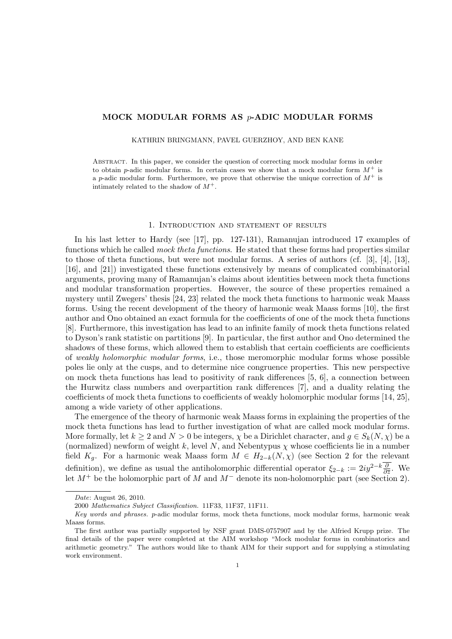## MOCK MODULAR FORMS AS p-ADIC MODULAR FORMS

KATHRIN BRINGMANN, PAVEL GUERZHOY, AND BEN KANE

Abstract. In this paper, we consider the question of correcting mock modular forms in order to obtain p-adic modular forms. In certain cases we show that a mock modular form  $M^+$  is a p-adic modular form. Furthermore, we prove that otherwise the unique correction of  $M^+$  is intimately related to the shadow of  $M^+$ .

#### 1. Introduction and statement of results

In his last letter to Hardy (see [17], pp. 127-131), Ramanujan introduced 17 examples of functions which he called *mock theta functions*. He stated that these forms had properties similar to those of theta functions, but were not modular forms. A series of authors (cf. [3], [4], [13], [16], and [21]) investigated these functions extensively by means of complicated combinatorial arguments, proving many of Ramanujan's claims about identities between mock theta functions and modular transformation properties. However, the source of these properties remained a mystery until Zwegers' thesis [24, 23] related the mock theta functions to harmonic weak Maass forms. Using the recent development of the theory of harmonic weak Maass forms [10], the first author and Ono obtained an exact formula for the coefficients of one of the mock theta functions [8]. Furthermore, this investigation has lead to an infinite family of mock theta functions related to Dyson's rank statistic on partitions [9]. In particular, the first author and Ono determined the shadows of these forms, which allowed them to establish that certain coefficients are coefficients of weakly holomorphic modular forms, i.e., those meromorphic modular forms whose possible poles lie only at the cusps, and to determine nice congruence properties. This new perspective on mock theta functions has lead to positivity of rank differences [5, 6], a connection between the Hurwitz class numbers and overpartition rank differences [7], and a duality relating the coefficients of mock theta functions to coefficients of weakly holomorphic modular forms [14, 25], among a wide variety of other applications.

The emergence of the theory of harmonic weak Maass forms in explaining the properties of the mock theta functions has lead to further investigation of what are called mock modular forms. More formally, let  $k > 2$  and  $N > 0$  be integers,  $\chi$  be a Dirichlet character, and  $q \in S_k(N, \chi)$  be a (normalized) newform of weight k, level N, and Nebentypus  $\chi$  whose coefficients lie in a number field K<sub>g</sub>. For a harmonic weak Maass form  $M \in H_{2-k}(N, \chi)$  (see Section 2 for the relevant definition), we define as usual the antiholomorphic differential operator  $\xi_{2-k} := 2iy^{2-k}\frac{\partial}{\partial \overline{z}}$ . We let  $M^+$  be the holomorphic part of M and  $M^-$  denote its non-holomorphic part (see Section 2).

Date: August 26, 2010.

<sup>2000</sup> Mathematics Subject Classification. 11F33, 11F37, 11F11.

Key words and phrases. p-adic modular forms, mock theta functions, mock modular forms, harmonic weak Maass forms.

The first author was partially supported by NSF grant DMS-0757907 and by the Alfried Krupp prize. The final details of the paper were completed at the AIM workshop "Mock modular forms in combinatorics and arithmetic geometry." The authors would like to thank AIM for their support and for supplying a stimulating work environment.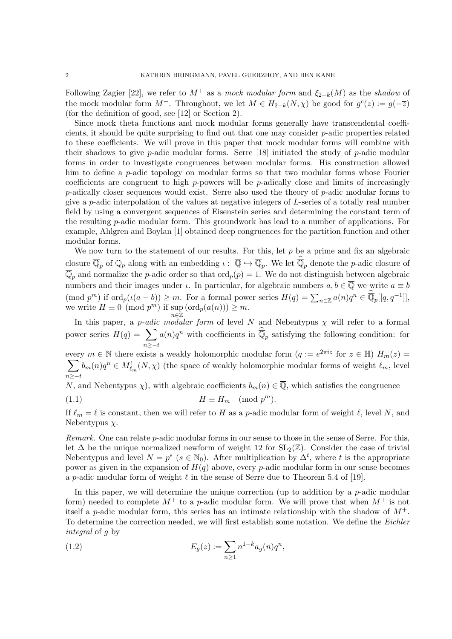Following Zagier [22], we refer to  $M^+$  as a mock modular form and  $\xi_{2-k}(M)$  as the shadow of the mock modular form  $M^+$ . Throughout, we let  $M \in H_{2-k}(N, \chi)$  be good for  $g^c(z) := \overline{g(-\overline{z})}$ (for the definition of good, see [12] or Section 2).

Since mock theta functions and mock modular forms generally have transcendental coefficients, it should be quite surprising to find out that one may consider p-adic properties related to these coefficients. We will prove in this paper that mock modular forms will combine with their shadows to give p-adic modular forms. Serre  $[18]$  initiated the study of p-adic modular forms in order to investigate congruences between modular forms. His construction allowed him to define a *p*-adic topology on modular forms so that two modular forms whose Fourier coefficients are congruent to high  $p$ -powers will be  $p$ -adically close and limits of increasingly  $p$ -adically closer sequences would exist. Serre also used the theory of  $p$ -adic modular forms to give a  $p$ -adic interpolation of the values at negative integers of  $L$ -series of a totally real number field by using a convergent sequences of Eisenstein series and determining the constant term of the resulting p-adic modular form. This groundwork has lead to a number of applications. For example, Ahlgren and Boylan [1] obtained deep congruences for the partition function and other modular forms.

We now turn to the statement of our results. For this, let  $p$  be a prime and fix an algebraic closure  $\overline{\mathbb{Q}}_p$  of  $\mathbb{Q}_p$  along with an embedding  $\iota : \overline{\mathbb{Q}} \hookrightarrow \overline{\mathbb{Q}}_p$ . We let  $\overline{\mathbb{Q}}_p$  denote the *p*-adic closure of  $\overline{\mathbb{Q}}_p$  and normalize the p-adic order so that  $\text{ord}_p(p) = 1$ . We do not distinguish between algebraic numbers and their images under  $\iota$ . In particular, for algebraic numbers  $a, b \in \overline{\mathbb{Q}}$  we write  $a \equiv b$  $p^{(m)}$  if  $\text{ord}_p(\iota(a-b)) \geq m$ . For a formal power series  $H(q) = \sum_{n \in \mathbb{Z}} a(n)q^n \in \overline{\mathbb{Q}}_p[[q, q^{-1}]],$ we write  $H \equiv 0 \pmod{p^m}$  if sup  $(\text{ord}_p(a(n))) \geq m$ . n∈Z

In this paper, a *p-adic modular form* of level N and Nebentypus  $\chi$  will refer to a formal power series  $H(q) = \sum$  $n \geq -t$  $a(n)q^n$  with coefficients in  $\overline{\mathbb{Q}}_p$  satisfying the following condition: for every  $m \in \mathbb{N}$  there exists a weakly holomorphic modular form  $(q := e^{2\pi i z}$  for  $z \in \mathbb{H}$ )  $H_m(z) =$ 

 $\sum b_m(n)q^n \in M_{\ell_m}^1(N,\chi)$  (the space of weakly holomorphic modular forms of weight  $\ell_m$ , level  $n \geq -t$ 

N, and Nebentypus  $\chi$ ), with algebraic coefficients  $b_m(n) \in \overline{Q}$ , which satisfies the congruence

(1.1) H ≡ H<sup>m</sup> (mod p <sup>m</sup>).

If  $\ell_m = \ell$  is constant, then we will refer to H as a p-adic modular form of weight  $\ell$ , level N, and Nebentypus  $\chi$ .

Remark. One can relate p-adic modular forms in our sense to those in the sense of Serre. For this, let  $\Delta$  be the unique normalized newform of weight 12 for  $SL_2(\mathbb{Z})$ . Consider the case of trivial Nebentypus and level  $N = p^s$  ( $s \in \mathbb{N}_0$ ). After multiplication by  $\Delta^t$ , where t is the appropriate power as given in the expansion of  $H(q)$  above, every p-adic modular form in our sense becomes a p-adic modular form of weight  $\ell$  in the sense of Serre due to Theorem 5.4 of [19].

In this paper, we will determine the unique correction (up to addition by a  $p$ -adic modular form) needed to complete  $M^+$  to a p-adic modular form. We will prove that when  $M^+$  is not itself a *p*-adic modular form, this series has an intimate relationship with the shadow of  $M^+$ . To determine the correction needed, we will first establish some notation. We define the Eichler integral of g by

(1.2) 
$$
E_g(z) := \sum_{n \ge 1} n^{1-k} a_g(n) q^n,
$$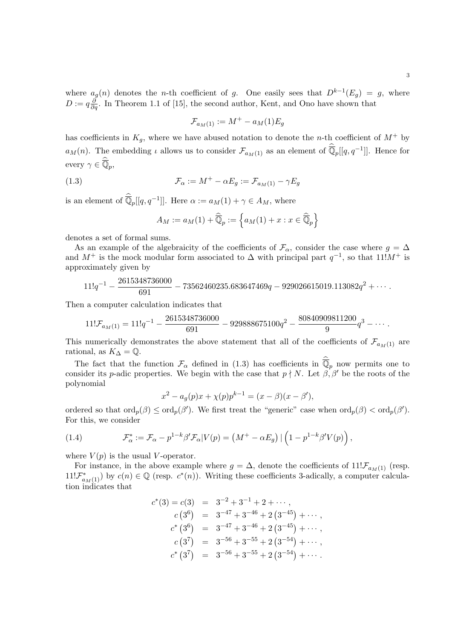where  $a_g(n)$  denotes the *n*-th coefficient of g. One easily sees that  $D^{k-1}(E_g) = g$ , where  $D := q \frac{\partial}{\partial q}$ . In Theorem 1.1 of [15], the second author, Kent, and Ono have shown that

$$
\mathcal{F}_{a_M(1)} := M^+ - a_M(1)E_g
$$

has coefficients in  $K_q$ , where we have abused notation to denote the *n*-th coefficient of  $M^+$  by  $a_M(n)$ . The embedding  $\iota$  allows us to consider  $\mathcal{F}_{a_M(1)}$  as an element of  $\overline{\mathbb{Q}}_p[[q, q^{-1}]]$ . Hence for every  $\gamma \in \overline{\mathbb{Q}}_p$ ,

(1.3) 
$$
\mathcal{F}_{\alpha} := M^{+} - \alpha E_{g} := \mathcal{F}_{a_{M}(1)} - \gamma E_{g}
$$

is an element of  $\overline{\mathbb{Q}}_p[[q, q^{-1}]]$ . Here  $\alpha := a_M(1) + \gamma \in A_M$ , where

$$
A_M := a_M(1) + \widehat{\overline{\mathbb{Q}}}_p := \left\{ a_M(1) + x : x \in \widehat{\overline{\mathbb{Q}}}_p \right\}
$$

denotes a set of formal sums.

As an example of the algebraicity of the coefficients of  $\mathcal{F}_{\alpha}$ , consider the case where  $g = \Delta$ and  $M^+$  is the mock modular form associated to  $\Delta$  with principal part  $q^{-1}$ , so that  $11!M^+$  is approximately given by

$$
11!q^{-1} - \frac{2615348736000}{691} - 73562460235.683647469q - 929026615019.113082q^{2} + \cdots
$$

Then a computer calculation indicates that

$$
11! \mathcal{F}_{a_M(1)} = 11!q^{-1} - \frac{2615348736000}{691} - 929888675100q^2 - \frac{80840909811200}{9}q^3 - \cdots
$$

This numerically demonstrates the above statement that all of the coefficients of  $\mathcal{F}_{aM(1)}$  are rational, as  $K_{\Delta} = \mathbb{Q}$ .

The fact that the function  $\mathcal{F}_{\alpha}$  defined in (1.3) has coefficients in  $\widehat{\mathbb{Q}}_p$  now permits one to consider its p-adic properties. We begin with the case that  $p \nmid N$ . Let  $\beta, \beta'$  be the roots of the polynomial

$$
x^{2} - a_{g}(p)x + \chi(p)p^{k-1} = (x - \beta)(x - \beta'),
$$

ordered so that  $\text{ord}_p(\beta) \le \text{ord}_p(\beta')$ . We first treat the "generic" case when  $\text{ord}_p(\beta) < \text{ord}_p(\beta')$ . For this, we consider

(1.4) 
$$
\mathcal{F}_{\alpha}^* := \mathcal{F}_{\alpha} - p^{1-k} \beta' \mathcal{F}_{\alpha} | V(p) = \left( M^+ - \alpha E_g \right) \left| \left( 1 - p^{1-k} \beta' V(p) \right) \right|,
$$

where  $V(p)$  is the usual V-operator.

For instance, in the above example where  $g = \Delta$ , denote the coefficients of  $11!\mathcal{F}_{a_M(1)}$  (resp.  $11!\mathcal{F}_{a_M(1)}^*$  by  $c(n) \in \mathbb{Q}$  (resp.  $c^*(n)$ ). Writing these coefficients 3-adically, a computer calculation indicates that

$$
c^*(3) = c(3) = 3^{-2} + 3^{-1} + 2 + \cdots,
$$
  
\n
$$
c(3^6) = 3^{-47} + 3^{-46} + 2(3^{-45}) + \cdots,
$$
  
\n
$$
c^*(3^6) = 3^{-47} + 3^{-46} + 2(3^{-45}) + \cdots,
$$
  
\n
$$
c(3^7) = 3^{-56} + 3^{-55} + 2(3^{-54}) + \cdots,
$$
  
\n
$$
c^*(3^7) = 3^{-56} + 3^{-55} + 2(3^{-54}) + \cdots.
$$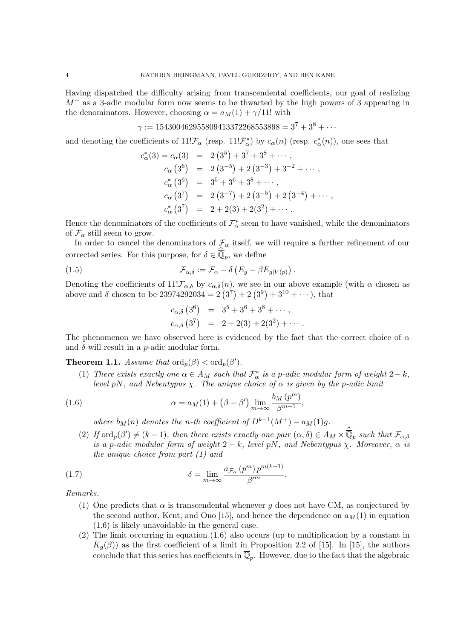Having dispatched the difficulty arising from transcendental coefficients, our goal of realizing  $M^+$  as a 3-adic modular form now seems to be thwarted by the high powers of 3 appearing in the denominators. However, choosing  $\alpha = a_M(1) + \gamma/11!$  with

$$
\gamma := 154300462955809413372268553898 = 3^7 + 3^8 + \cdots
$$

and denoting the coefficients of  $11!\mathcal{F}_{\alpha}$  (resp.  $11!\mathcal{F}_{\alpha}^{*}$ ) by  $c_{\alpha}(n)$  (resp.  $c_{\alpha}^{*}(n)$ ), one sees that

$$
c_{\alpha}^{*}(3) = c_{\alpha}(3) = 2(3^{5}) + 3^{7} + 3^{8} + \cdots,
$$
  
\n
$$
c_{\alpha}(3^{6}) = 2(3^{-5}) + 2(3^{-3}) + 3^{-2} + \cdots,
$$
  
\n
$$
c_{\alpha}^{*}(3^{6}) = 3^{5} + 3^{6} + 3^{8} + \cdots,
$$
  
\n
$$
c_{\alpha}(3^{7}) = 2(3^{-7}) + 2(3^{-5}) + 2(3^{-4}) + \cdots,
$$
  
\n
$$
c_{\alpha}^{*}(3^{7}) = 2 + 2(3) + 2(3^{2}) + \cdots.
$$

Hence the denominators of the coefficients of  $\mathcal{F}_{\alpha}^*$  seem to have vanished, while the denominators of  $\mathcal{F}_{\alpha}$  still seem to grow.

In order to cancel the denominators of  $\mathcal{F}_{\alpha}$  itself, we will require a further refinement of our corrected series. For this purpose, for  $\delta \in \overline{\mathbb{Q}}_p$ , we define

(1.5) 
$$
\mathcal{F}_{\alpha,\delta} := \mathcal{F}_{\alpha} - \delta \left( E_g - \beta E_{g|V(p)} \right).
$$

Denoting the coefficients of  $11!F_{\alpha,\delta}$  by  $c_{\alpha,\delta}(n)$ , we see in our above example (with  $\alpha$  chosen as above and  $\delta$  chosen to be 23974292034 =  $2(3^7) + 2(3^9) + 3^{10} + \cdots$ , that

$$
c_{\alpha,\delta} (3^6) = 3^5 + 3^6 + 3^8 + \cdots ,
$$
  
\n
$$
c_{\alpha,\delta} (3^7) = 2 + 2(3) + 2(3^2) + \cdots .
$$

The phenomenon we have observed here is evidenced by the fact that the correct choice of  $\alpha$ and  $\delta$  will result in a *p*-adic modular form.

**Theorem 1.1.** Assume that  $\text{ord}_p(\beta) < \text{ord}_p(\beta')$ .

(1) There exists exactly one  $\alpha \in A_M$  such that  $\mathcal{F}^*_{\alpha}$  is a p-adic modular form of weight  $2-k$ , level pN, and Nebentypus  $\chi$ . The unique choice of  $\alpha$  is given by the p-adic limit

(1.6) 
$$
\alpha = a_M(1) + (\beta - \beta') \lim_{m \to \infty} \frac{b_M(p^m)}{\beta^{m+1}},
$$

where  $b_M(n)$  denotes the n-th coefficient of  $D^{k-1}(M^+) - a_M(1)g$ .

(2) If  $\text{ord}_p(\beta') \neq (k-1)$ , then there exists exactly one pair  $(\alpha, \delta) \in A_M \times \overline{\mathbb{Q}}_p$  such that  $\mathcal{F}_{\alpha, \delta}$ is a p-adic modular form of weight  $2-k$ , level pN, and Nebentypus  $\chi$ . Moreover,  $\alpha$  is the unique choice from part (1) and

(1.7) 
$$
\delta = \lim_{m \to \infty} \frac{a_{\mathcal{F}_{\alpha}}(p^m) p^{m(k-1)}}{\beta^m}.
$$

Remarks.

- (1) One predicts that  $\alpha$  is transcendental whenever q does not have CM, as conjectured by the second author, Kent, and Ono [15], and hence the dependence on  $a_M(1)$  in equation (1.6) is likely unavoidable in the general case.
- (2) The limit occurring in equation (1.6) also occurs (up to multiplication by a constant in  $K_q(\beta)$ ) as the first coefficient of a limit in Proposition 2.2 of [15]. In [15], the authors conclude that this series has coefficients in  $\overline{\mathbb{Q}}_p$ . However, due to the fact that the algebraic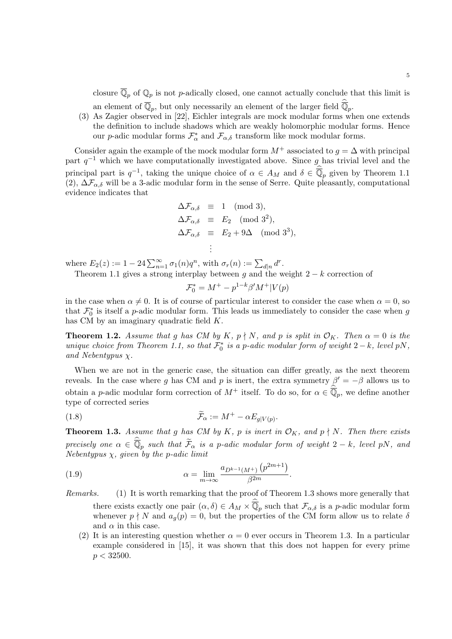closure  $\overline{\mathbb{Q}}_p$  of  $\mathbb{Q}_p$  is not p-adically closed, one cannot actually conclude that this limit is an element of  $\overline{\mathbb{Q}}_p$ , but only necessarily an element of the larger field  $\overline{\mathbb{Q}}_p$ .

(3) As Zagier observed in [22], Eichler integrals are mock modular forms when one extends the definition to include shadows which are weakly holomorphic modular forms. Hence our *p*-adic modular forms  $\mathcal{F}_{\alpha}^*$  and  $\mathcal{F}_{\alpha,\delta}$  transform like mock modular forms.

Consider again the example of the mock modular form  $M^+$  associated to  $q = \Delta$  with principal part  $q^{-1}$  which we have computationally investigated above. Since g has trivial level and the principal part is  $q^{-1}$ , taking the unique choice of  $\alpha \in A_M$  and  $\delta \in \overline{\mathbb{Q}}_p$  given by Theorem 1.1 (2),  $\Delta\mathcal{F}_{\alpha,\delta}$  will be a 3-adic modular form in the sense of Serre. Quite pleasantly, computational evidence indicates that

$$
\Delta \mathcal{F}_{\alpha,\delta} \equiv 1 \pmod{3},
$$
  
\n
$$
\Delta \mathcal{F}_{\alpha,\delta} \equiv E_2 \pmod{3^2},
$$
  
\n
$$
\Delta \mathcal{F}_{\alpha,\delta} \equiv E_2 + 9\Delta \pmod{3^3},
$$
  
\n
$$
\vdots
$$

where  $E_2(z) := 1 - 24 \sum_{n=1}^{\infty} \sigma_1(n) q^n$ , with  $\sigma_r(n) := \sum_{d|n} d^r$ .

Theorem 1.1 gives a strong interplay between g and the weight  $2 - k$  correction of

$$
\mathcal{F}_0^* = M^+ - p^{1-k} \beta' M^+ | V(p)
$$

in the case when  $\alpha \neq 0$ . It is of course of particular interest to consider the case when  $\alpha = 0$ , so that  $\mathcal{F}_0^*$  is itself a *p*-adic modular form. This leads us immediately to consider the case when g has CM by an imaginary quadratic field K.

**Theorem 1.2.** Assume that g has CM by K,  $p \nmid N$ , and p is split in  $\mathcal{O}_K$ . Then  $\alpha = 0$  is the unique choice from Theorem 1.1, so that  $\mathcal{F}_0^*$  is a p-adic modular form of weight  $2 - k$ , level pN, and Nebentypus  $\chi$ .

When we are not in the generic case, the situation can differ greatly, as the next theorem reveals. In the case where g has CM and p is inert, the extra symmetry  $\beta' = -\beta$  allows us to obtain a p-adic modular form correction of  $M^+$  itself. To do so, for  $\alpha \in \overline{\mathbb{Q}}_p$ , we define another type of corrected series

(1.8) 
$$
\widetilde{\mathcal{F}}_{\alpha} := M^{+} - \alpha E_{g|V(p)}
$$

**Theorem 1.3.** Assume that g has CM by K, p is inert in  $\mathcal{O}_K$ , and  $p \nmid N$ . Then there exists precisely one  $\alpha \in \overline{\mathbb{Q}}_p$  such that  $\widetilde{\mathcal{F}}_\alpha$  is a p-adic modular form of weight  $2-k$ , level pN, and Nebentypus  $\chi$ , given by the p-adic limit

.

.

(1.9) 
$$
\alpha = \lim_{m \to \infty} \frac{a_{D^{k-1}(M^+)} (p^{2m+1})}{\beta^{2m}}
$$

- Remarks. (1) It is worth remarking that the proof of Theorem 1.3 shows more generally that there exists exactly one pair  $(\alpha, \delta) \in A_M \times \overline{\mathbb{Q}}_p$  such that  $\mathcal{F}_{\alpha,\delta}$  is a p-adic modular form whenever  $p \nmid N$  and  $a_q(p) = 0$ , but the properties of the CM form allow us to relate  $\delta$ and  $\alpha$  in this case.
	- (2) It is an interesting question whether  $\alpha = 0$  ever occurs in Theorem 1.3. In a particular example considered in [15], it was shown that this does not happen for every prime  $p < 32500$ .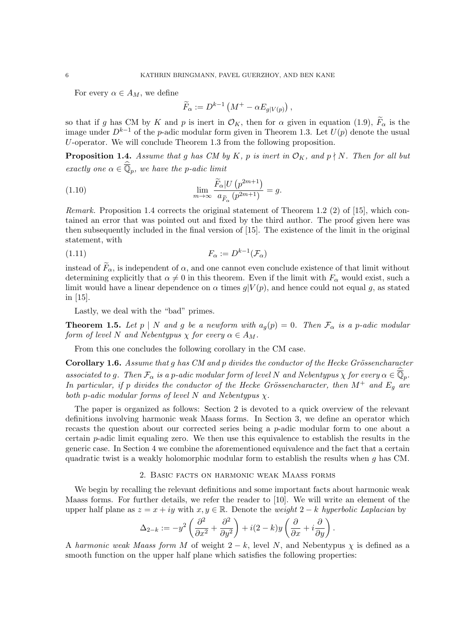For every  $\alpha \in A_M$ , we define

$$
\widetilde{F}_{\alpha} := D^{k-1} \left( M^+ - \alpha E_{g|V(p)} \right),
$$

so that if g has CM by K and p is inert in  $\mathcal{O}_K$ , then for  $\alpha$  given in equation (1.9),  $\tilde{F}_{\alpha}$  is the image under  $D^{k-1}$  of the p-adic modular form given in Theorem 1.3. Let  $U(p)$  denote the usual U-operator. We will conclude Theorem 1.3 from the following proposition.

**Proposition 1.4.** Assume that g has CM by K, p is inert in  $\mathcal{O}_K$ , and  $p \nmid N$ . Then for all but exactly one  $\alpha \in \overline{\mathbb{Q}}_p$ , we have the p-adic limit

(1.10) 
$$
\lim_{m \to \infty} \frac{\widetilde{F}_{\alpha}|U(p^{2m+1})}{a_{\widetilde{F}_{\alpha}}(p^{2m+1})} = g.
$$

Remark. Proposition 1.4 corrects the original statement of Theorem 1.2 (2) of [15], which contained an error that was pointed out and fixed by the third author. The proof given here was then subsequently included in the final version of [15]. The existence of the limit in the original statement, with

$$
F_{\alpha} := D^{k-1}(\mathcal{F}_{\alpha})
$$

instead of  $\widetilde{F}_{\alpha}$ , is independent of  $\alpha$ , and one cannot even conclude existence of that limit without determining explicitly that  $\alpha \neq 0$  in this theorem. Even if the limit with  $F_{\alpha}$  would exist, such a limit would have a linear dependence on  $\alpha$  times  $q|V(p)$ , and hence could not equal g, as stated in [15].

Lastly, we deal with the "bad" primes.

**Theorem 1.5.** Let p | N and g be a newform with  $a_q(p) = 0$ . Then  $\mathcal{F}_{\alpha}$  is a p-adic modular form of level N and Nebentypus  $\chi$  for every  $\alpha \in A_M$ .

From this one concludes the following corollary in the CM case.

**Corollary 1.6.** Assume that q has  $CM$  and p divides the conductor of the Hecke Grössencharacter associated to g. Then  $\mathcal{F}_{\alpha}$  is a p-adic modular form of level N and Nebentypus  $\chi$  for every  $\alpha \in \overline{\mathbb{Q}}_p$ . In particular, if p divides the conductor of the Hecke Grössencharacter, then  $M^+$  and  $E_q$  are both p-adic modular forms of level N and Nebentypus  $\chi$ .

The paper is organized as follows: Section 2 is devoted to a quick overview of the relevant definitions involving harmonic weak Maass forms. In Section 3, we define an operator which recasts the question about our corrected series being a p-adic modular form to one about a certain p-adic limit equaling zero. We then use this equivalence to establish the results in the generic case. In Section 4 we combine the aforementioned equivalence and the fact that a certain quadratic twist is a weakly holomorphic modular form to establish the results when g has CM.

### 2. Basic facts on harmonic weak Maass forms

We begin by recalling the relevant definitions and some important facts about harmonic weak Maass forms. For further details, we refer the reader to [10]. We will write an element of the upper half plane as  $z = x + iy$  with  $x, y \in \mathbb{R}$ . Denote the *weight* 2 – k hyperbolic Laplacian by

$$
\Delta_{2-k} := -y^2 \left( \frac{\partial^2}{\partial x^2} + \frac{\partial^2}{\partial y^2} \right) + i(2-k)y \left( \frac{\partial}{\partial x} + i \frac{\partial}{\partial y} \right).
$$

A harmonic weak Maass form M of weight  $2 - k$ , level N, and Nebentypus  $\chi$  is defined as a smooth function on the upper half plane which satisfies the following properties: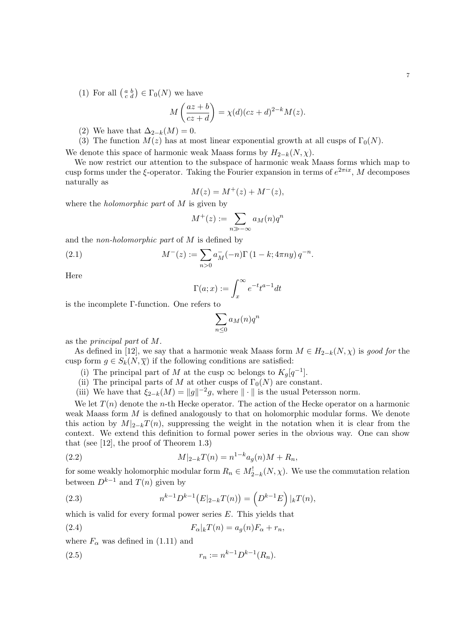(1) For all  $\left(\begin{smallmatrix} a & b \\ c & d \end{smallmatrix}\right) \in \Gamma_0(N)$  we have

$$
M\left(\frac{az+b}{cz+d}\right) = \chi(d)(cz+d)^{2-k}M(z).
$$

- (2) We have that  $\Delta_{2-k}(M)=0$ .
- (3) The function  $M(z)$  has at most linear exponential growth at all cusps of  $\Gamma_0(N)$ .

We denote this space of harmonic weak Maass forms by  $H_{2-k}(N, \chi)$ .

We now restrict our attention to the subspace of harmonic weak Maass forms which map to cusp forms under the  $\xi$ -operator. Taking the Fourier expansion in terms of  $e^{2\pi ix}$ , M decomposes naturally as

$$
M(z) = M^{+}(z) + M^{-}(z),
$$

where the *holomorphic part* of M is given by

$$
M^+(z) := \sum_{n \gg -\infty} a_M(n) q^n
$$

and the non-holomorphic part of M is defined by

(2.1) 
$$
M^{-}(z) := \sum_{n>0} a_M^{-}(-n) \Gamma(1-k; 4\pi ny) q^{-n}.
$$

Here

$$
\Gamma(a; x) := \int_x^{\infty} e^{-t} t^{a-1} dt
$$

is the incomplete Γ-function. One refers to

$$
\sum_{n\leq 0} a_M(n)q^n
$$

as the principal part of M.

As defined in [12], we say that a harmonic weak Maass form  $M \in H_{2-k}(N, \chi)$  is good for the cusp form  $g \in S_k(N, \overline{\chi})$  if the following conditions are satisfied:

- (i) The principal part of M at the cusp  $\infty$  belongs to  $K_g[q^{-1}]$ .
- (ii) The principal parts of M at other cusps of  $\Gamma_0(N)$  are constant.
- (iii) We have that  $\xi_{2-k}(M) = ||g||^{-2}g$ , where  $|| \cdot ||$  is the usual Petersson norm.

We let  $T(n)$  denote the n-th Hecke operator. The action of the Hecke operator on a harmonic weak Maass form M is defined analogously to that on holomorphic modular forms. We denote this action by  $M|_{2-k}T(n)$ , suppressing the weight in the notation when it is clear from the context. We extend this definition to formal power series in the obvious way. One can show that (see [12], the proof of Theorem 1.3)

(2.2) 
$$
M|_{2-k}T(n) = n^{1-k}a_g(n)M + R_n,
$$

for some weakly holomorphic modular form  $R_n \in M^!_{2-k}(N, \chi)$ . We use the commutation relation between  $D^{k-1}$  and  $T(n)$  given by

(2.3) 
$$
n^{k-1}D^{k-1}(E|_{2-k}T(n)) = (D^{k-1}E)|_{k}T(n),
$$

which is valid for every formal power series E. This yields that

(2.4) 
$$
F_{\alpha}|_{k}T(n) = a_{g}(n)F_{\alpha} + r_{n},
$$

where  $F_{\alpha}$  was defined in (1.11) and

(2.5) 
$$
r_n := n^{k-1} D^{k-1}(R_n).
$$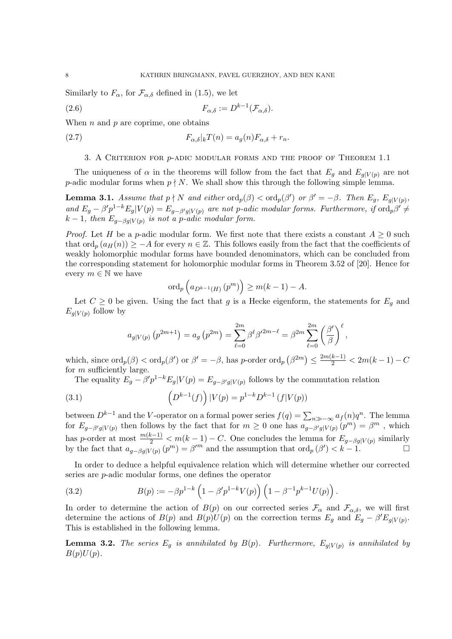Similarly to  $F_{\alpha}$ , for  $\mathcal{F}_{\alpha,\delta}$  defined in (1.5), we let

$$
F_{\alpha,\delta} := D^{k-1}(\mathcal{F}_{\alpha,\delta}).
$$

When  $n$  and  $p$  are coprime, one obtains

(2.7) 
$$
F_{\alpha,\delta}|_{k}T(n) = a_g(n)F_{\alpha,\delta} + r_n.
$$

# 3. A Criterion for p-adic modular forms and the proof of Theorem 1.1

The uniqueness of  $\alpha$  in the theorems will follow from the fact that  $E_g$  and  $E_g|_{V(p)}$  are not p-adic modular forms when  $p \nmid N$ . We shall show this through the following simple lemma.

**Lemma 3.1.** Assume that  $p \nmid N$  and either  $\text{ord}_p(\beta) < \text{ord}_p(\beta')$  or  $\beta' = -\beta$ . Then  $E_g$ ,  $E_{g|V(p)}$ , and  $E_g - \beta' p^{1-k} E_g | V(p) = E_{g-\beta'g|V(p)}$  are not p-adic modular forms. Furthermore, if  $\text{ord}_p \beta' \neq$  $k-1$ , then  $E_{g-\beta g|V(p)}$  is not a p-adic modular form.

*Proof.* Let H be a p-adic modular form. We first note that there exists a constant  $A \geq 0$  such that  $\text{ord}_p(a_H(n)) \geq -A$  for every  $n \in \mathbb{Z}$ . This follows easily from the fact that the coefficients of weakly holomorphic modular forms have bounded denominators, which can be concluded from the corresponding statement for holomorphic modular forms in Theorem 3.52 of [20]. Hence for every  $m \in \mathbb{N}$  we have

$$
\operatorname{ord}_p\left(a_{D^{k-1}(H)}\left(p^m\right)\right) \ge m(k-1) - A.
$$

Let  $C \geq 0$  be given. Using the fact that g is a Hecke eigenform, the statements for  $E_q$  and  $E_{g|V(p)}$  follow by

$$
a_{g|V(p)} (p^{2m+1}) = a_g (p^{2m}) = \sum_{\ell=0}^{2m} \beta^{\ell} \beta^{\ell} \beta^{\ell} \qquad \ell = \beta^{2m} \sum_{\ell=0}^{2m} \left(\frac{\beta^{\ell}}{\beta}\right)^{\ell},
$$

which, since  $\text{ord}_p(\beta) < \text{ord}_p(\beta')$  or  $\beta' = -\beta$ , has p-order  $\text{ord}_p(\beta^{2m}) \le \frac{2m(k-1)}{2} < 2m(k-1) - C$ for m sufficiently large.

The equality  $E_g - \beta' p^{1-k} E_g | V(p) = E_{g-\beta'g|V(p)}$  follows by the commutation relation

(3.1) 
$$
\left(D^{k-1}(f)\right)|V(p) = p^{1-k}D^{k-1}(f|V(p))
$$

between  $D^{k-1}$  and the V-operator on a formal power series  $f(q) = \sum_{n \gg -\infty} a_f(n)q^n$ . The lemma for  $E_{g-\beta'g|V(p)}$  then follows by the fact that for  $m\geq 0$  one has  $a_{g-\beta'g|V(p)}(p^m)=\beta^m$ , which has p-order at most  $\frac{m(k-1)}{2} < m(k-1) - C$ . One concludes the lemma for  $E_{g-\beta g|V(p)}$  similarly by the fact that  $a_{g-\beta g|V(p)}(p^m) = \beta^{\prime m}$  and the assumption that  $\text{ord}_p(\beta') < k-1$ .

In order to deduce a helpful equivalence relation which will determine whether our corrected series are p-adic modular forms, one defines the operator

(3.2) 
$$
B(p) := -\beta p^{1-k} \left(1 - \beta' p^{1-k} V(p)\right) \left(1 - \beta^{-1} p^{k-1} U(p)\right).
$$

In order to determine the action of  $B(p)$  on our corrected series  $\mathcal{F}_{\alpha}$  and  $\mathcal{F}_{\alpha,\delta}$ , we will first determine the actions of  $B(p)$  and  $B(p)U(p)$  on the correction terms  $E_g$  and  $E_g - \beta' E_{g|V(p)}$ . This is established in the following lemma.

**Lemma 3.2.** The series  $E_g$  is annihilated by  $B(p)$ . Furthermore,  $E_{g|V(p)}$  is annihilated by  $B(p)U(p)$ .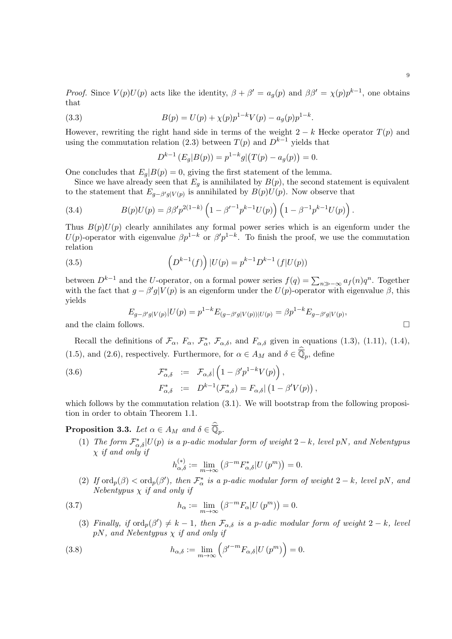*Proof.* Since  $V(p)U(p)$  acts like the identity,  $\beta + \beta' = a_g(p)$  and  $\beta\beta' = \chi(p)p^{k-1}$ , one obtains that

(3.3) 
$$
B(p) = U(p) + \chi(p)p^{1-k}V(p) - a_g(p)p^{1-k}.
$$

However, rewriting the right hand side in terms of the weight  $2 - k$  Hecke operator  $T(p)$  and using the commutation relation (2.3) between  $T(p)$  and  $D^{k-1}$  yields that

$$
D^{k-1} (E_g | B(p)) = p^{1-k} g | (T(p) - a_g(p)) = 0.
$$

One concludes that  $E_q|B(p) = 0$ , giving the first statement of the lemma.

Since we have already seen that  $E_g$  is annihilated by  $B(p)$ , the second statement is equivalent to the statement that  $E_{g-\beta'g|V(p)}$  is annihilated by  $B(p)U(p)$ . Now observe that

(3.4) 
$$
B(p)U(p) = \beta \beta' p^{2(1-k)} \left(1 - \beta'^{-1} p^{k-1} U(p)\right) \left(1 - \beta^{-1} p^{k-1} U(p)\right).
$$

Thus  $B(p)U(p)$  clearly annihilates any formal power series which is an eigenform under the U(p)-operator with eigenvalue  $\beta p^{1-k}$  or  $\beta' p^{1-k}$ . To finish the proof, we use the commutation relation

(3.5) 
$$
\left(D^{k-1}(f)\right)|U(p) = p^{k-1}D^{k-1}(f|U(p))
$$

between  $D^{k-1}$  and the U-operator, on a formal power series  $f(q) = \sum_{n \gg -\infty} a_f(n)q^n$ . Together with the fact that  $g - \beta' g | V(p)$  is an eigenform under the  $U(p)$ -operator with eigenvalue  $\beta$ , this yields

$$
E_{g-\beta'g|V(p)}|U(p) = p^{1-k}E_{(g-\beta'g|V(p))|U(p)} = \beta p^{1-k}E_{g-\beta'g|V(p)},
$$
  
and the claim follows.

Recall the definitions of  $\mathcal{F}_{\alpha}$ ,  $F_{\alpha}$ ,  $\mathcal{F}_{\alpha}^*$ ,  $\mathcal{F}_{\alpha,\delta}$ , and  $F_{\alpha,\delta}$  given in equations (1.3), (1.11), (1.4), (1.5), and (2.6), respectively. Furthermore, for  $\alpha \in A_M$  and  $\delta \in \overline{\mathbb{Q}}_p$ , define

(3.6) 
$$
\mathcal{F}^*_{\alpha,\delta} := \mathcal{F}_{\alpha,\delta} \left( 1 - \beta' p^{1-k} V(p) \right),
$$

$$
F^*_{\alpha,\delta} := D^{k-1}(\mathcal{F}^*_{\alpha,\delta}) = F_{\alpha,\delta} \left( 1 - \beta' V(p) \right),
$$

which follows by the commutation relation  $(3.1)$ . We will bootstrap from the following proposition in order to obtain Theorem 1.1.

**Proposition 3.3.** Let  $\alpha \in A_M$  and  $\delta \in \overline{\mathbb{Q}}_p$ .

(1) The form  $\mathcal{F}_{\alpha,\delta}^{*}|U(p)$  is a p-adic modular form of weight  $2-k$ , level pN, and Nebentypus  $\chi$  if and only if

$$
h_{\alpha,\delta}^{(*)} := \lim_{m \to \infty} \left( \beta^{-m} F_{\alpha,\delta}^* | U (p^m) \right) = 0.
$$

(2) If  $\text{ord}_p(\beta) < \text{ord}_p(\beta')$ , then  $\mathcal{F}^*_{\alpha}$  is a p-adic modular form of weight  $2 - k$ , level pN, and Nebentypus  $\chi$  if and only if

(3.7) 
$$
h_{\alpha} := \lim_{m \to \infty} \left( \beta^{-m} F_{\alpha} | U (p^{m}) \right) = 0.
$$

(3) Finally, if  $\text{ord}_p(\beta') \neq k-1$ , then  $\mathcal{F}_{\alpha,\delta}$  is a p-adic modular form of weight  $2-k$ , level pN, and Nebentypus  $\chi$  if and only if

(3.8) 
$$
h_{\alpha,\delta} := \lim_{m \to \infty} \left( \beta'^{-m} F_{\alpha,\delta} | U (p^m) \right) = 0.
$$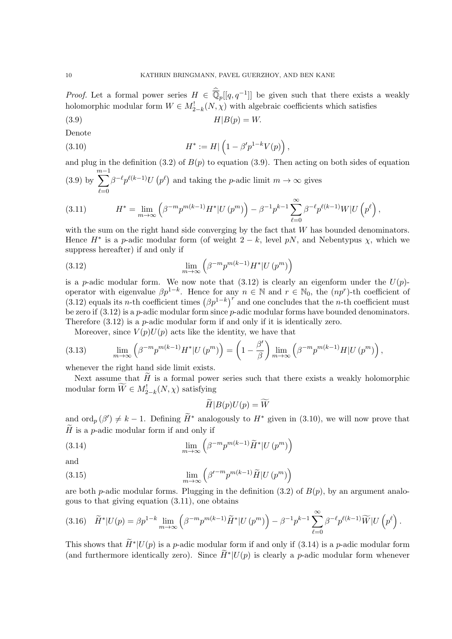*Proof.* Let a formal power series  $H \in \overline{\mathbb{Q}}_p[[q, q^{-1}]]$  be given such that there exists a weakly holomorphic modular form  $W \in M^!_{2-k}(N, \chi)$  with algebraic coefficients which satisfies

(3.9) H|B(p) = W.

Denote

(3.10) 
$$
H^* := H \left( 1 - \beta' p^{1-k} V(p) \right),
$$

and plug in the definition (3.2) of  $B(p)$  to equation (3.9). Then acting on both sides of equation  $\sum^{m-1}$ 

(3.9) by 
$$
\sum_{\ell=0} \beta^{-\ell} p^{\ell(k-1)} U(p^{\ell})
$$
 and taking the *p*-adic limit  $m \to \infty$  gives

(3.11) 
$$
H^* = \lim_{m \to \infty} \left( \beta^{-m} p^{m(k-1)} H^* | U (p^m) \right) - \beta^{-1} p^{k-1} \sum_{\ell=0}^{\infty} \beta^{-\ell} p^{\ell(k-1)} W | U \left( p^{\ell} \right),
$$

with the sum on the right hand side converging by the fact that  $W$  has bounded denominators. Hence  $H^*$  is a p-adic modular form (of weight  $2 - k$ , level pN, and Nebentypus  $\chi$ , which we suppress hereafter) if and only if

(3.12) 
$$
\lim_{m \to \infty} \left( \beta^{-m} p^{m(k-1)} H^* | U (p^m) \right)
$$

is a p-adic modular form. We now note that  $(3.12)$  is clearly an eigenform under the  $U(p)$ operator with eigenvalue  $\beta p^{1-k}$ . Hence for any  $n \in \mathbb{N}$  and  $r \in \mathbb{N}_0$ , the  $(np^r)$ -th coefficient of (3.12) equals its n-th coefficient times  $(\beta p^{1-k})^r$  and one concludes that the n-th coefficient must be zero if  $(3.12)$  is a *p*-adic modular form since *p*-adic modular forms have bounded denominators. Therefore  $(3.12)$  is a *p*-adic modular form if and only if it is identically zero.

Moreover, since  $V(p)U(p)$  acts like the identity, we have that

(3.13) 
$$
\lim_{m \to \infty} \left( \beta^{-m} p^{m(k-1)} H^* | U (p^m) \right) = \left( 1 - \frac{\beta'}{\beta} \right) \lim_{m \to \infty} \left( \beta^{-m} p^{m(k-1)} H | U (p^m) \right),
$$

whenever the right hand side limit exists.

Next assume that  $\hat{H}$  is a formal power series such that there exists a weakly holomorphic modular form  $\widetilde{W} \in M^{!}_{2-k}(N, \chi)$  satisfying

$$
H|B(p)U(p) = W
$$

and  $\text{ord}_p(\beta') \neq k-1$ . Defining  $\widetilde{H}^*$  analogously to  $H^*$  given in (3.10), we will now prove that  $H$  is a p-adic modular form if and only if

(3.14) 
$$
\lim_{m \to \infty} \left( \beta^{-m} p^{m(k-1)} \widetilde{H}^* | U (p^m) \right)
$$

and

(3.15) 
$$
\lim_{m \to \infty} \left( \beta'^{-m} p^{m(k-1)} \widetilde{H} | U (p^m) \right)
$$

are both p-adic modular forms. Plugging in the definition  $(3.2)$  of  $B(p)$ , by an argument analogous to that giving equation (3.11), one obtains

$$
(3.16)\quad \widetilde{H}^*|U(p) = \beta p^{1-k} \lim_{m \to \infty} \left( \beta^{-m} p^{m(k-1)} \widetilde{H}^*|U(p^m) \right) - \beta^{-1} p^{k-1} \sum_{\ell=0}^{\infty} \beta^{-\ell} p^{\ell(k-1)} \widetilde{W}|U(p^{\ell}).
$$

This shows that  $\widetilde{H}^*|U(p)$  is a p-adic modular form if and only if (3.14) is a p-adic modular form (and furthermore identically zero). Since  $\widetilde{H}^*|U(p)$  is clearly a p-adic modular form whenever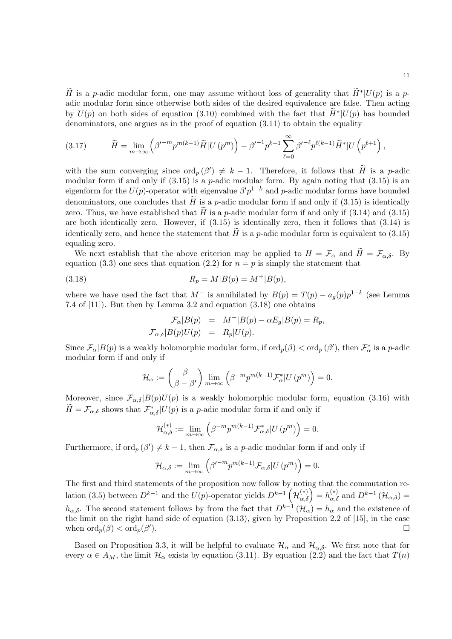$\widetilde{H}$  is a p-adic modular form, one may assume without loss of generality that  $\widetilde{H}^*|U(p)$  is a padic modular form since otherwise both sides of the desired equivalence are false. Then acting by  $U(p)$  on both sides of equation (3.10) combined with the fact that  $\widetilde{H}^*|U(p)$  has bounded denominators, one argues as in the proof of equation  $(3.11)$  to obtain the equality

(3.17) 
$$
\widetilde{H} = \lim_{m \to \infty} \left( \beta'^{-m} p^{m(k-1)} \widetilde{H} | U (p^m) \right) - \beta'^{-1} p^{k-1} \sum_{\ell=0}^{\infty} \beta'^{-\ell} p^{\ell(k-1)} \widetilde{H}^* | U \left( p^{\ell+1} \right),
$$

with the sum converging since  $\text{ord}_p(\beta') \neq k-1$ . Therefore, it follows that  $\tilde{H}$  is a p-adic modular form if and only if  $(3.15)$  is a p-adic modular form. By again noting that  $(3.15)$  is an eigenform for the  $U(p)$ -operator with eigenvalue  $\beta' p^{1-k}$  and p-adic modular forms have bounded denominators, one concludes that  $H$  is a p-adic modular form if and only if (3.15) is identically zero. Thus, we have established that  $\tilde{H}$  is a p-adic modular form if and only if (3.14) and (3.15) are both identically zero. However, if (3.15) is identically zero, then it follows that (3.14) is identically zero, and hence the statement that  $H$  is a p-adic modular form is equivalent to (3.15) equaling zero.

We next establish that the above criterion may be applied to  $H = \mathcal{F}_{\alpha}$  and  $H = \mathcal{F}_{\alpha,\delta}$ . By equation (3.3) one sees that equation (2.2) for  $n = p$  is simply the statement that

(3.18) 
$$
R_p = M|B(p) = M^+|B(p),
$$

where we have used the fact that  $M^-$  is annihilated by  $B(p) = T(p) - a_g(p)p^{1-k}$  (see Lemma 7.4 of [11]). But then by Lemma 3.2 and equation (3.18) one obtains

$$
\mathcal{F}_{\alpha}|B(p) = M^+|B(p) - \alpha E_g|B(p) = R_p,
$$
  

$$
\mathcal{F}_{\alpha,\delta}|B(p)U(p) = R_p|U(p).
$$

Since  $\mathcal{F}_{\alpha}|B(p)$  is a weakly holomorphic modular form, if  $\text{ord}_p(\beta) < \text{ord}_p(\beta')$ , then  $\mathcal{F}_{\alpha}^*$  is a p-adic modular form if and only if

$$
\mathcal{H}_{\alpha} := \left(\frac{\beta}{\beta - \beta'}\right) \lim_{m \to \infty} \left(\beta^{-m} p^{m(k-1)} \mathcal{F}_{\alpha}^{*} | U (p^{m})\right) = 0.
$$

Moreover, since  $\mathcal{F}_{\alpha,\delta}|B(p)U(p)$  is a weakly holomorphic modular form, equation (3.16) with  $\widetilde{H} = \mathcal{F}_{\alpha,\delta}$  shows that  $\mathcal{F}_{\alpha,\delta}^* | U(p)$  is a *p*-adic modular form if and only if

$$
\mathcal{H}_{\alpha,\delta}^{(*)} := \lim_{m \to \infty} \left( \beta^{-m} p^{m(k-1)} \mathcal{F}_{\alpha,\delta}^* | U (p^m) \right) = 0.
$$

Furthermore, if  $\text{ord}_p(\beta') \neq k-1$ , then  $\mathcal{F}_{\alpha,\delta}$  is a p-adic modular form if and only if

$$
\mathcal{H}_{\alpha,\delta} := \lim_{m \to \infty} \left( \beta'^{-m} p^{m(k-1)} \mathcal{F}_{\alpha,\delta} | U (p^m) \right) = 0.
$$

The first and third statements of the proposition now follow by noting that the commutation relation (3.5) between  $D^{k-1}$  and the  $U(p)$ -operator yields  $D^{k-1}(\mathcal{H}_{\alpha,\delta}^{(*)})=h_{\alpha,\delta}^{(*)}$  and  $D^{k-1}(\mathcal{H}_{\alpha,\delta})=$  $h_{\alpha,\delta}$ . The second statement follows by from the fact that  $D^{k-1}(\mathcal{H}_{\alpha})=h_{\alpha}$  and the existence of the limit on the right hand side of equation (3.13), given by Proposition 2.2 of [15], in the case when  $\mathrm{ord}_p(\beta) < \mathrm{ord}_p(\beta')$ ).

Based on Proposition 3.3, it will be helpful to evaluate  $\mathcal{H}_{\alpha}$  and  $\mathcal{H}_{\alpha,\delta}$ . We first note that for every  $\alpha \in A_M$ , the limit  $\mathcal{H}_{\alpha}$  exists by equation (3.11). By equation (2.2) and the fact that  $T(n)$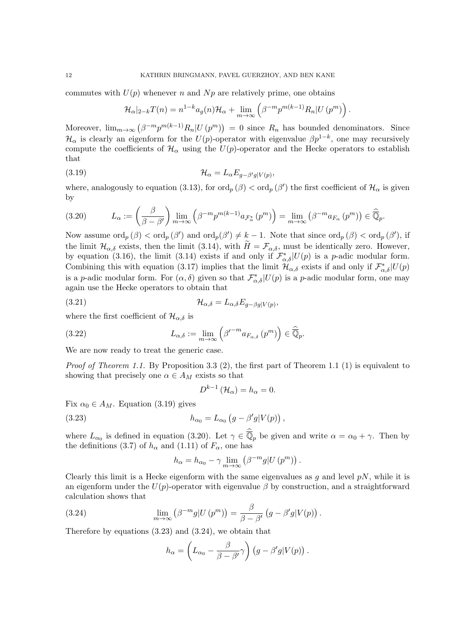commutes with  $U(p)$  whenever n and N<sub>p</sub> are relatively prime, one obtains

$$
\mathcal{H}_{\alpha}|_{2-k}T(n) = n^{1-k}a_g(n)\mathcal{H}_{\alpha} + \lim_{m \to \infty} \left(\beta^{-m}p^{m(k-1)}R_n|U(p^m)\right).
$$

Moreover,  $\lim_{m\to\infty} (\beta^{-m}p^{m(k-1)}R_n|U(p^m)) = 0$  since  $R_n$  has bounded denominators. Since  $\mathcal{H}_{\alpha}$  is clearly an eigenform for the  $U(p)$ -operator with eigenvalue  $\beta p^{1-k}$ , one may recursively compute the coefficients of  $\mathcal{H}_{\alpha}$  using the  $U(p)$ -operator and the Hecke operators to establish that

(3.19) 
$$
\mathcal{H}_{\alpha} = L_{\alpha} E_{g-\beta'g|V(p)},
$$

where, analogously to equation (3.13), for  $\text{ord}_p(\beta) < \text{ord}_p(\beta')$  the first coefficient of  $\mathcal{H}_\alpha$  is given by

$$
(3.20) \tL_{\alpha} := \left(\frac{\beta}{\beta - \beta'}\right) \lim_{m \to \infty} \left(\beta^{-m} p^{m(k-1)} a_{\mathcal{F}_{\alpha}^{*}}(p^{m})\right) = \lim_{m \to \infty} \left(\beta^{-m} a_{F_{\alpha}}(p^{m})\right) \in \widehat{\mathbb{Q}}_{p}.
$$

Now assume  $\text{ord}_p(\beta) < \text{ord}_p(\beta')$  and  $\text{ord}_p(\beta') \neq k-1$ . Note that since  $\text{ord}_p(\beta) < \text{ord}_p(\beta')$ , if the limit  $\mathcal{H}_{\alpha,\delta}$  exists, then the limit (3.14), with  $\widetilde{H} = \mathcal{F}_{\alpha,\delta}$ , must be identically zero. However, by equation (3.16), the limit (3.14) exists if and only if  $\mathcal{F}^*_{\alpha,\delta}|U(p)$  is a p-adic modular form. Combining this with equation (3.17) implies that the limit  $\mathcal{H}_{\alpha,\delta}$  exists if and only if  $\mathcal{F}_{\alpha,\delta}^{*}|U(p)$ is a p-adic modular form. For  $(\alpha, \delta)$  given so that  $\mathcal{F}_{\alpha,\delta}^*$   $|U(p)|$  is a p-adic modular form, one may again use the Hecke operators to obtain that

(3.21) 
$$
\mathcal{H}_{\alpha,\delta} = L_{\alpha,\delta} E_{g-\beta g|V(p)},
$$

where the first coefficient of  $\mathcal{H}_{\alpha,\delta}$  is

(3.22) 
$$
L_{\alpha,\delta} := \lim_{m \to \infty} \left( \beta'^{-m} a_{F_{\alpha,\delta}} (p^m) \right) \in \widehat{\overline{\mathbb{Q}}}_p.
$$

We are now ready to treat the generic case.

*Proof of Theorem 1.1.* By Proposition 3.3 (2), the first part of Theorem 1.1 (1) is equivalent to showing that precisely one  $\alpha \in A_M$  exists so that

$$
D^{k-1}(\mathcal{H}_{\alpha})=h_{\alpha}=0.
$$

Fix  $\alpha_0 \in A_M$ . Equation (3.19) gives

(3.23) 
$$
h_{\alpha_0} = L_{\alpha_0} \left( g - \beta' g | V(p) \right)
$$

where  $L_{\alpha_0}$  is defined in equation (3.20). Let  $\gamma \in \overline{\mathbb{Q}}_p$  be given and write  $\alpha = \alpha_0 + \gamma$ . Then by the definitions (3.7) of  $h_{\alpha}$  and (1.11) of  $F_{\alpha}$ , one has

,

$$
h_{\alpha} = h_{\alpha_0} - \gamma \lim_{m \to \infty} (\beta^{-m} g | U (p^m)).
$$

Clearly this limit is a Hecke eigenform with the same eigenvalues as q and level  $pN$ , while it is an eigenform under the  $U(p)$ -operator with eigenvalue  $\beta$  by construction, and a straightforward calculation shows that

(3.24) 
$$
\lim_{m \to \infty} (\beta^{-m} g | U (p^m)) = \frac{\beta}{\beta - \beta'} (g - \beta' g | V(p)).
$$

Therefore by equations (3.23) and (3.24), we obtain that

$$
h_{\alpha} = \left(L_{\alpha_0} - \frac{\beta}{\beta - \beta'}\gamma\right) \left(g - \beta'g|V(p)\right).
$$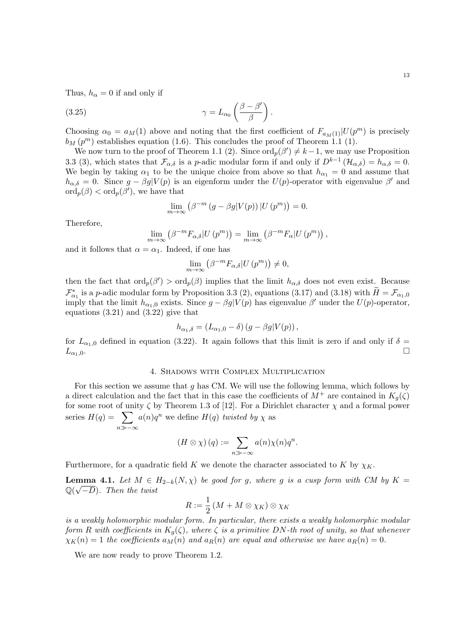Thus,  $h_{\alpha} = 0$  if and only if

(3.25) 
$$
\gamma = L_{\alpha_0} \left( \frac{\beta - \beta'}{\beta} \right).
$$

Choosing  $\alpha_0 = a_M(1)$  above and noting that the first coefficient of  $F_{a_M(1)}|U(p^m)$  is precisely  $b_M(p^m)$  establishes equation (1.6). This concludes the proof of Theorem 1.1 (1).

We now turn to the proof of Theorem 1.1 (2). Since  $\text{ord}_p(\beta') \neq k-1$ , we may use Proposition 3.3 (3), which states that  $\mathcal{F}_{\alpha,\delta}$  is a p-adic modular form if and only if  $D^{k-1}(\mathcal{H}_{\alpha,\delta}) = h_{\alpha,\delta} = 0$ . We begin by taking  $\alpha_1$  to be the unique choice from above so that  $h_{\alpha_1} = 0$  and assume that  $h_{\alpha,\delta} = 0$ . Since  $g - \beta g | V(p)$  is an eigenform under the  $U(p)$ -operator with eigenvalue  $\beta'$  and  $\mathrm{ord}_p(\beta)<\mathrm{ord}_p(\beta'),$  we have that

$$
\lim_{m \to \infty} (\beta^{-m} (g - \beta g | V(p)) | U (p^m)) = 0.
$$

Therefore,

$$
\lim_{m \to \infty} (\beta^{-m} F_{\alpha, \delta} | U (p^m)) = \lim_{m \to \infty} (\beta^{-m} F_{\alpha} | U (p^m)),
$$

and it follows that  $\alpha = \alpha_1$ . Indeed, if one has

$$
\lim_{m \to \infty} \left( \beta^{-m} F_{\alpha, \delta} | U (p^m) \right) \neq 0,
$$

then the fact that  $\text{ord}_p(\beta') > \text{ord}_p(\beta)$  implies that the limit  $h_{\alpha,\delta}$  does not even exist. Because  $\mathcal{F}_{\alpha_1}^*$  is a p-adic modular form by Proposition 3.3 (2), equations (3.17) and (3.18) with  $\widetilde{H} = \mathcal{F}_{\alpha_1,0}$ imply that the limit  $h_{\alpha_1,0}$  exists. Since  $g - \beta g | V(p)$  has eigenvalue  $\beta'$  under the  $U(p)$ -operator, equations (3.21) and (3.22) give that

$$
h_{\alpha_1,\delta} = (L_{\alpha_1,0} - \delta) (g - \beta g | V(p)),
$$

for  $L_{\alpha_1,0}$  defined in equation (3.22). It again follows that this limit is zero if and only if  $\delta =$  $L_{\alpha_1,0}$ .

# 4. Shadows with Complex Multiplication

For this section we assume that  $q$  has CM. We will use the following lemma, which follows by a direct calculation and the fact that in this case the coefficients of  $M^+$  are contained in  $K_q(\zeta)$ for some root of unity  $\zeta$  by Theorem 1.3 of [12]. For a Dirichlet character  $\chi$  and a formal power series  $H(q) = \sum$  $n\gg-\infty$  $a(n)q^n$  we define  $H(q)$  twisted by  $\chi$  as

$$
(H \otimes \chi) (q) := \sum_{n \gg -\infty} a(n) \chi(n) q^n.
$$

Furthermore, for a quadratic field K we denote the character associated to K by  $\chi_K$ .

**Lemma 4.1.** Let  $M \in H_{2-k}(N, \chi)$  be good for g, where g is a cusp form with CM by  $K = \Omega(\sqrt{N})$  $\mathbb{Q}(\sqrt{-D})$ . Then the twist

$$
R := \frac{1}{2} \left( M + M \otimes \chi_K \right) \otimes \chi_K
$$

is a weakly holomorphic modular form. In particular, there exists a weakly holomorphic modular form R with coefficients in  $K_q(\zeta)$ , where  $\zeta$  is a primitive DN-th root of unity, so that whenever  $\chi_K(n) = 1$  the coefficients  $a_M(n)$  and  $a_R(n)$  are equal and otherwise we have  $a_R(n) = 0$ .

We are now ready to prove Theorem 1.2.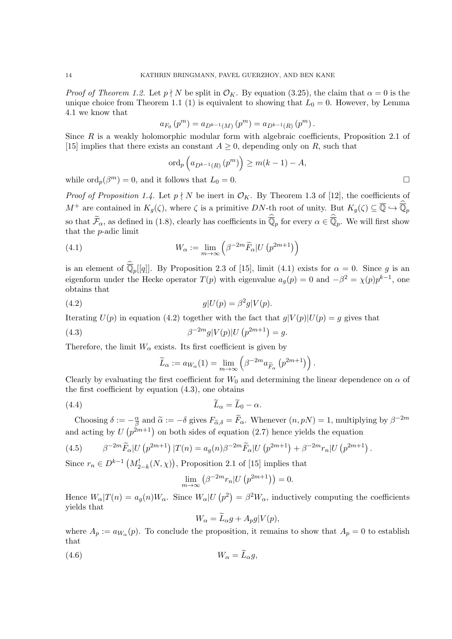*Proof of Theorem 1.2.* Let  $p \nmid N$  be split in  $\mathcal{O}_K$ . By equation (3.25), the claim that  $\alpha = 0$  is the unique choice from Theorem 1.1 (1) is equivalent to showing that  $L_0 = 0$ . However, by Lemma 4.1 we know that

$$
a_{F_0}(p^m) = a_{D^{k-1}(M)}(p^m) = a_{D^{k-1}(R)}(p^m).
$$

Since  $R$  is a weakly holomorphic modular form with algebraic coefficients, Proposition 2.1 of [15] implies that there exists an constant  $A \geq 0$ , depending only on R, such that

$$
\operatorname{ord}_p\left(a_{D^{k-1}(R)}\left(p^m\right)\right) \ge m(k-1)-A,
$$

while  $\text{ord}_p(\beta^m) = 0$ , and it follows that  $L_0 = 0$ .

*Proof of Proposition 1.4.* Let  $p \nmid N$  be inert in  $\mathcal{O}_K$ . By Theorem 1.3 of [12], the coefficients of  $M^+$  are contained in  $K_g(\zeta)$ , where  $\zeta$  is a primitive DN-th root of unity. But  $K_g(\zeta) \subseteq \overline{\mathbb{Q}} \hookrightarrow \overline{\mathbb{Q}}_p$ so that  $\widetilde{\mathcal{F}}_{\alpha}$ , as defined in (1.8), clearly has coefficients in  $\overline{\mathbb{Q}}_p$  for every  $\alpha \in \overline{\mathbb{Q}}_p$ . We will first show that the p-adic limit

(4.1) 
$$
W_{\alpha} := \lim_{m \to \infty} \left( \beta^{-2m} \widetilde{F}_{\alpha} | U (p^{2m+1}) \right)
$$

is an element of  $\overline{\mathbb{Q}}_p[[q]]$ . By Proposition 2.3 of [15], limit (4.1) exists for  $\alpha = 0$ . Since g is an eigenform under the Hecke operator  $T(p)$  with eigenvalue  $a_g(p) = 0$  and  $-\beta^2 = \chi(p)p^{k-1}$ , one obtains that

$$
(4.2) \t\t g|U(p) = \beta^2 g|V(p).
$$

Iterating  $U(p)$  in equation (4.2) together with the fact that  $g|V(p)|U(p) = g$  gives that

(4.3) 
$$
\beta^{-2m}g|V(p)|U(p^{2m+1}) = g.
$$

Therefore, the limit  $W_{\alpha}$  exists. Its first coefficient is given by

$$
\widetilde{L}_{\alpha} := a_{W_{\alpha}}(1) = \lim_{m \to \infty} \left( \beta^{-2m} a_{\widetilde{F}_{\alpha}} \left( p^{2m+1} \right) \right).
$$

Clearly by evaluating the first coefficient for  $W_0$  and determining the linear dependence on  $\alpha$  of the first coefficient by equation  $(4.3)$ , one obtains

(4.4) <sup>L</sup>e<sup>α</sup> <sup>=</sup> <sup>L</sup>e<sup>0</sup> <sup>−</sup> α.

Choosing  $\delta := -\frac{\alpha}{\beta}$  $\frac{\alpha}{\beta}$  and  $\tilde{\alpha} := -\delta$  gives  $F_{\tilde{\alpha}, \delta} = \tilde{F}_{\alpha}$ . Whenever  $(n, pN) = 1$ , multiplying by  $\beta^{-2m}$ and acting by  $U(p^{2m+1})$  on both sides of equation (2.7) hence yields the equation

(4.5) 
$$
\beta^{-2m} \widetilde{F}_{\alpha} |U (p^{2m+1})| T(n) = a_g(n) \beta^{-2m} \widetilde{F}_{\alpha} |U (p^{2m+1}) + \beta^{-2m} r_n |U (p^{2m+1}).
$$

Since  $r_n \in D^{k-1} (M_{2-k}^!(N, \chi))$ , Proposition 2.1 of [15] implies that

$$
\lim_{m \to \infty} \left( \beta^{-2m} r_n | U \left( p^{2m+1} \right) \right) = 0.
$$

Hence  $W_{\alpha}|T(n) = a_{g}(n)W_{\alpha}$ . Since  $W_{\alpha}|U(p^{2}) = \beta^{2}W_{\alpha}$ , inductively computing the coefficients yields that

$$
W_{\alpha} = L_{\alpha}g + A_p g|V(p),
$$

where  $A_p := a_{W_\alpha}(p)$ . To conclude the proposition, it remains to show that  $A_p = 0$  to establish that

$$
(4.6) \t W_{\alpha} = \tilde{L}_{\alpha}g,
$$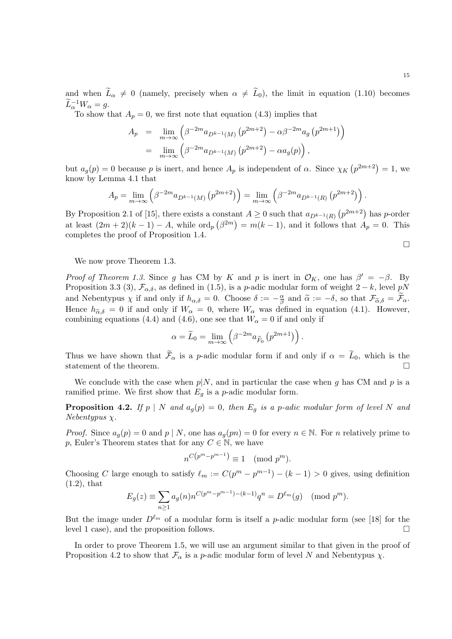and when  $\widetilde{L}_{\alpha} \neq 0$  (namely, precisely when  $\alpha \neq \widetilde{L}_0$ ), the limit in equation (1.10) becomes  $\widetilde{L}_{\alpha}^{-1}W_{\alpha}=g.$ 

To show that  $A_p = 0$ , we first note that equation (4.3) implies that

$$
A_p = \lim_{m \to \infty} \left( \beta^{-2m} a_{D^{k-1}(M)} \left( p^{2m+2} \right) - \alpha \beta^{-2m} a_g \left( p^{2m+1} \right) \right)
$$
  
= 
$$
\lim_{m \to \infty} \left( \beta^{-2m} a_{D^{k-1}(M)} \left( p^{2m+2} \right) - \alpha a_g(p) \right),
$$

but  $a_g(p) = 0$  because p is inert, and hence  $A_p$  is independent of  $\alpha$ . Since  $\chi_K(p^{2m+2}) = 1$ , we know by Lemma 4.1 that

$$
A_p = \lim_{m \to \infty} \left( \beta^{-2m} a_{D^{k-1}(M)} \left( p^{2m+2} \right) \right) = \lim_{m \to \infty} \left( \beta^{-2m} a_{D^{k-1}(R)} \left( p^{2m+2} \right) \right).
$$

By Proposition 2.1 of [15], there exists a constant  $A \geq 0$  such that  $a_{D^{k-1}(R)}(p^{2m+2})$  has p-order at least  $(2m+2)(k-1) - A$ , while  $\text{ord}_p(\beta^{2m}) = m(k-1)$ , and it follows that  $A_p = 0$ . This completes the proof of Proposition 1.4.

$$
\Box
$$

We now prove Theorem 1.3.

Proof of Theorem 1.3. Since g has CM by K and p is inert in  $\mathcal{O}_K$ , one has  $\beta' = -\beta$ . By Proposition 3.3 (3),  $\mathcal{F}_{\alpha,\delta}$ , as defined in (1.5), is a p-adic modular form of weight 2 – k, level pN and Nebentypus  $\chi$  if and only if  $h_{\alpha,\delta} = 0$ . Choose  $\delta := -\frac{\alpha}{\beta}$  $\frac{\alpha}{\beta}$  and  $\tilde{\alpha} := -\delta$ , so that  $\mathcal{F}_{\tilde{\alpha}, \delta} = \mathcal{F}_{\alpha}$ . Hence  $h_{\tilde{\alpha},\delta} = 0$  if and only if  $W_{\alpha} = 0$ , where  $W_{\alpha}$  was defined in equation (4.1). However, combining equations (4.4) and (4.6), one see that  $W_{\alpha} = 0$  if and only if

$$
\alpha = \widetilde{L}_0 = \lim_{m \to \infty} \left( \beta^{-2m} a_{\widetilde{F}_0} \left( p^{2m+1} \right) \right).
$$

Thus we have shown that  $\widetilde{\mathcal{F}}_{\alpha}$  is a p-adic modular form if and only if  $\alpha = \widetilde{L}_0$ , which is the statement of the theorem.

We conclude with the case when  $p|N$ , and in particular the case when g has CM and p is a ramified prime. We first show that  $E_g$  is a p-adic modular form.

**Proposition 4.2.** If p | N and  $a_g(p) = 0$ , then  $E_g$  is a p-adic modular form of level N and  $Nebentypus \chi.$ 

*Proof.* Since  $a_q(p) = 0$  and  $p \mid N$ , one has  $a_q(pn) = 0$  for every  $n \in \mathbb{N}$ . For n relatively prime to p, Euler's Theorem states that for any  $C \in \mathbb{N}$ , we have

$$
n^{C(p^m - p^{m-1})} \equiv 1 \pmod{p^m}.
$$

Choosing C large enough to satisfy  $\ell_m := C(p^m - p^{m-1}) - (k-1) > 0$  gives, using definition (1.2), that

$$
E_g(z) \equiv \sum_{n\geq 1} a_g(n) n^{C(p^m - p^{m-1}) - (k-1)} q^n = D^{\ell_m}(g) \pmod{p^m}.
$$

But the image under  $D^{\ell_m}$  of a modular form is itself a p-adic modular form (see [18] for the level 1 case), and the proposition follows.

In order to prove Theorem 1.5, we will use an argument similar to that given in the proof of Proposition 4.2 to show that  $\mathcal{F}_{\alpha}$  is a p-adic modular form of level N and Nebentypus  $\chi$ .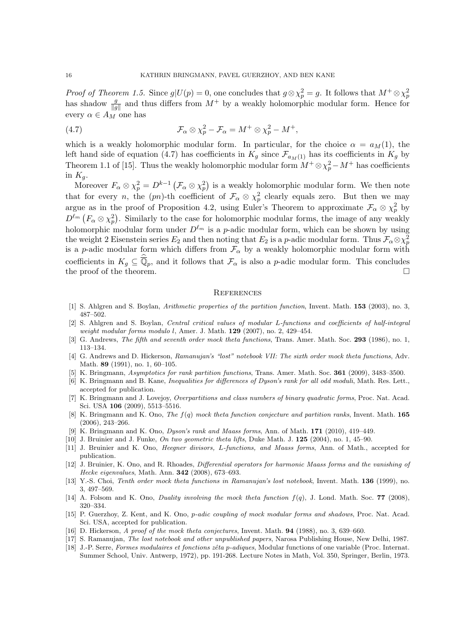*Proof of Theorem 1.5.* Since  $g|U(p) = 0$ , one concludes that  $g \otimes \chi_p^2 = g$ . It follows that  $M^+ \otimes \chi_p^2$ has shadow  $\frac{g}{\|g\|}$  and thus differs from  $M^+$  by a weakly holomorphic modular form. Hence for every  $\alpha \in A_M$  one has

(4.7) 
$$
\mathcal{F}_{\alpha} \otimes \chi_p^2 - \mathcal{F}_{\alpha} = M^+ \otimes \chi_p^2 - M^+,
$$

which is a weakly holomorphic modular form. In particular, for the choice  $\alpha = a<sub>M</sub>(1)$ , the left hand side of equation (4.7) has coefficients in  $K_g$  since  $\mathcal{F}_{a_M(1)}$  has its coefficients in  $K_g$  by Theorem 1.1 of [15]. Thus the weakly holomorphic modular form  $M^+ \otimes \chi^2_p - M^+$  has coefficients in  $K_q$ .

Moreover  $F_\alpha \otimes \chi_p^2 = D^{k-1} \left( \mathcal{F}_\alpha \otimes \chi_p^2 \right)$  is a weakly holomorphic modular form. We then note that for every *n*, the  $(pn)$ -th coefficient of  $\mathcal{F}_{\alpha} \otimes \chi^2_p$  clearly equals zero. But then we may argue as in the proof of Proposition 4.2, using Euler's Theorem to approximate  $\mathcal{F}_{\alpha} \otimes \chi_p^2$  by  $D^{\ell_m}$   $(F_\alpha \otimes \chi_p^2)$ . Similarly to the case for holomorphic modular forms, the image of any weakly holomorphic modular form under  $D^{\ell_m}$  is a *p*-adic modular form, which can be shown by using the weight 2 Eisenstein series  $E_2$  and then noting that  $E_2$  is a p-adic modular form. Thus  $\mathcal{F}_{\alpha} \otimes \chi^2_p$ is a p-adic modular form which differs from  $\mathcal{F}_{\alpha}$  by a weakly holomorphic modular form with coefficients in  $K_g \subseteq \overline{\mathbb{Q}}_p$ , and it follows that  $\mathcal{F}_{\alpha}$  is also a p-adic modular form. This concludes the proof of the theorem.  $\Box$ 

#### **REFERENCES**

- [1] S. Ahlgren and S. Boylan, Arithmetic properties of the partition function, Invent. Math. 153 (2003), no. 3, 487–502.
- [2] S. Ahlgren and S. Boylan, Central critical values of modular L-functions and coefficients of half-integral weight modular forms modulo l, Amer. J. Math. 129 (2007), no. 2, 429-454.
- [3] G. Andrews, The fifth and seventh order mock theta functions, Trans. Amer. Math. Soc. 293 (1986), no. 1, 113–134.
- [4] G. Andrews and D. Hickerson, Ramanujan's "lost" notebook VII: The sixth order mock theta functions, Adv. Math. 89 (1991), no. 1, 60–105.
- [5] K. Bringmann, Asymptotics for rank partition functions, Trans. Amer. Math. Soc. 361 (2009), 3483–3500.
- [6] K. Bringmann and B. Kane, *Inequalities for differences of Dyson's rank for all odd moduli*, Math. Res. Lett., accepted for publication.
- [7] K. Bringmann and J. Lovejoy, Overpartitions and class numbers of binary quadratic forms, Proc. Nat. Acad. Sci. USA 106 (2009), 5513–5516.
- [8] K. Bringmann and K. Ono, The  $f(q)$  mock theta function conjecture and partition ranks, Invent. Math. 165 (2006), 243–266.
- [9] K. Bringmann and K. Ono, Dyson's rank and Maass forms, Ann. of Math. 171 (2010), 419–449.
- [10] J. Bruinier and J. Funke, On two geometric theta lifts, Duke Math. J. 125 (2004), no. 1, 45–90.
- [11] J. Bruinier and K. Ono, *Heegner divisors, L-functions, and Maass forms*, Ann. of Math., accepted for publication.
- [12] J. Bruinier, K. Ono, and R. Rhoades, Differential operators for harmonic Maass forms and the vanishing of Hecke eigenvalues, Math. Ann. 342 (2008), 673–693.
- [13] Y.-S. Choi, Tenth order mock theta functions in Ramanujan's lost notebook, Invent. Math. 136 (1999), no. 3, 497–569.
- [14] A. Folsom and K. Ono, *Duality involving the mock theta function*  $f(q)$ , J. Lond. Math. Soc. **77** (2008), 320–334.
- [15] P. Guerzhoy, Z. Kent, and K. Ono, p-adic coupling of mock modular forms and shadows, Proc. Nat. Acad. Sci. USA, accepted for publication.
- [16] D. Hickerson, A proof of the mock theta conjectures, Invent. Math. 94 (1988), no. 3, 639–660.
- [17] S. Ramanujan, The lost notebook and other unpublished papers, Narosa Publishing House, New Delhi, 1987.
- [18] J.-P. Serre, Formes modulaires et fonctions zêta p-adiques, Modular functions of one variable (Proc. Internat. Summer School, Univ. Antwerp, 1972), pp. 191-268. Lecture Notes in Math, Vol. 350, Springer, Berlin, 1973.